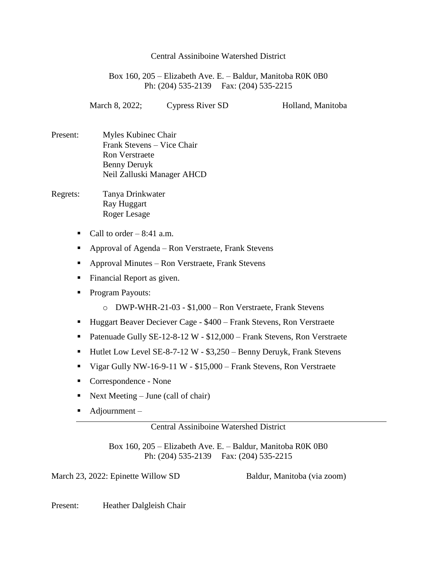## Central Assiniboine Watershed District

Box 160, 205 – Elizabeth Ave. E. – Baldur, Manitoba R0K 0B0 Ph: (204) 535-2139 Fax: (204) 535-2215

March 8, 2022; Cypress River SD Holland, Manitoba

- Present: Myles Kubinec Chair Frank Stevens – Vice Chair Ron Verstraete Benny Deruyk Neil Zalluski Manager AHCD
- Regrets: Tanya Drinkwater Ray Huggart Roger Lesage
	- Call to order  $-8:41$  a.m.
	- Approval of Agenda Ron Verstraete, Frank Stevens
	- Approval Minutes Ron Verstraete, Frank Stevens
	- **Financial Report as given.**
	- **Program Payouts:** 
		- o DWP-WHR-21-03 \$1,000 Ron Verstraete, Frank Stevens
	- Huggart Beaver Deciever Cage \$400 Frank Stevens, Ron Verstraete
	- Patenuade Gully SE-12-8-12 W \$12,000 Frank Stevens, Ron Verstraete
	- Hutlet Low Level SE-8-7-12 W \$3,250 Benny Deruyk, Frank Stevens
	- Vigar Gully NW-16-9-11 W \$15,000 Frank Stevens, Ron Verstraete
	- Correspondence None
	- Next Meeting June (call of chair)
	- $\blacksquare$  Adjournment –

## Central Assiniboine Watershed District

Box 160, 205 – Elizabeth Ave. E. – Baldur, Manitoba R0K 0B0 Ph: (204) 535-2139 Fax: (204) 535-2215

March 23, 2022: Epinette Willow SD Baldur, Manitoba (via zoom)

Present: Heather Dalgleish Chair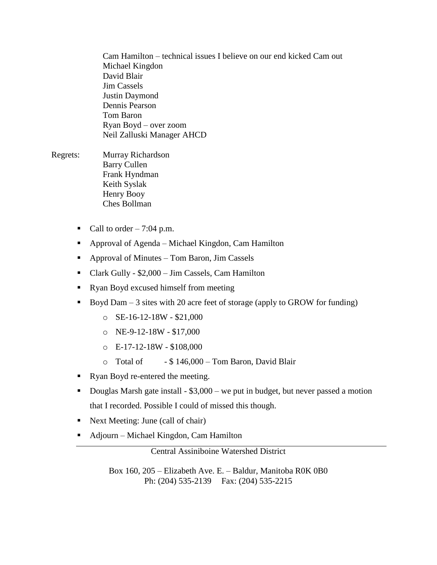Cam Hamilton – technical issues I believe on our end kicked Cam out Michael Kingdon David Blair Jim Cassels Justin Daymond Dennis Pearson Tom Baron Ryan Boyd – over zoom Neil Zalluski Manager AHCD

- Regrets: Murray Richardson Barry Cullen Frank Hyndman Keith Syslak Henry Booy Ches Bollman
	- Call to order  $-7:04$  p.m.
	- Approval of Agenda Michael Kingdon, Cam Hamilton
	- Approval of Minutes Tom Baron, Jim Cassels
	- Clark Gully \$2,000 Jim Cassels, Cam Hamilton
	- Ryan Boyd excused himself from meeting
	- Boyd Dam  $-3$  sites with 20 acre feet of storage (apply to GROW for funding)
		- $O$  SE-16-12-18W \$21,000
		- o NE-9-12-18W \$17,000
		- $O$  E-17-12-18W \$108,000
		- $\circ$  Total of  $$ 146,000 Tom Baron, David Blair$
	- Ryan Boyd re-entered the meeting.
	- Douglas Marsh gate install \$3,000 we put in budget, but never passed a motion that I recorded. Possible I could of missed this though.
	- Next Meeting: June (call of chair)
	- Adjourn Michael Kingdon, Cam Hamilton

Central Assiniboine Watershed District

Box 160, 205 – Elizabeth Ave. E. – Baldur, Manitoba R0K 0B0 Ph: (204) 535-2139 Fax: (204) 535-2215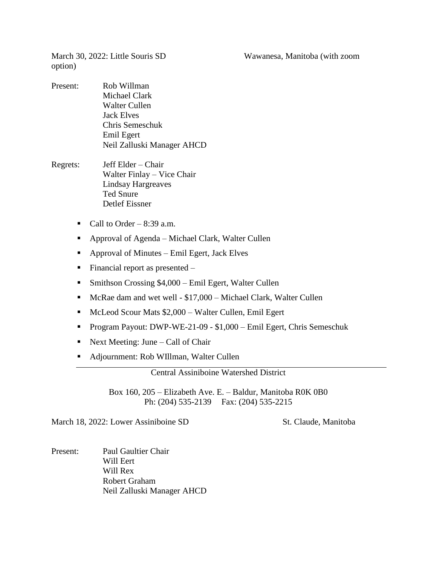March 30, 2022: Little Souris SD Wawanesa, Manitoba (with zoom

option)

- Present: Rob Willman Michael Clark Walter Cullen Jack Elves Chris Semeschuk Emil Egert Neil Zalluski Manager AHCD
- Regrets: Jeff Elder Chair Walter Finlay – Vice Chair Lindsay Hargreaves Ted Snure Detlef Eissner
	- Call to Order  $8:39$  a.m.
	- Approval of Agenda Michael Clark, Walter Cullen
	- Approval of Minutes Emil Egert, Jack Elves
	- $\blacksquare$  Financial report as presented –
	- Smithson Crossing \$4,000 Emil Egert, Walter Cullen
	- McRae dam and wet well \$17,000 Michael Clark, Walter Cullen
	- McLeod Scour Mats \$2,000 Walter Cullen, Emil Egert
	- Program Payout: DWP-WE-21-09 \$1,000 Emil Egert, Chris Semeschuk
	- Next Meeting: June Call of Chair
	- Adjournment: Rob WIllman, Walter Cullen

Central Assiniboine Watershed District

Box 160, 205 – Elizabeth Ave. E. – Baldur, Manitoba R0K 0B0 Ph: (204) 535-2139 Fax: (204) 535-2215

March 18, 2022: Lower Assiniboine SD St. Claude, Manitoba

Present: Paul Gaultier Chair Will Eert Will Rex Robert Graham Neil Zalluski Manager AHCD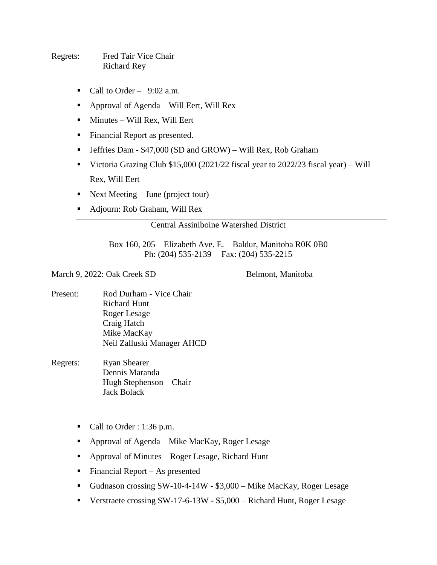Regrets: Fred Tair Vice Chair Richard Rey

- Call to Order  $9:02$  a.m.
- Approval of Agenda Will Eert, Will Rex
- $\blacksquare$  Minutes Will Rex, Will Eert
- **Financial Report as presented.**
- Jeffries Dam \$47,000 (SD and GROW) Will Rex, Rob Graham
- Victoria Grazing Club \$15,000 (2021/22 fiscal year to 2022/23 fiscal year) Will Rex, Will Eert
- Next Meeting June (project tour)
- Adjourn: Rob Graham, Will Rex

## Central Assiniboine Watershed District

Box 160, 205 – Elizabeth Ave. E. – Baldur, Manitoba R0K 0B0 Ph: (204) 535-2139 Fax: (204) 535-2215

March 9, 2022: Oak Creek SD Belmont, Manitoba

- Present: Rod Durham Vice Chair Richard Hunt Roger Lesage Craig Hatch Mike MacKay Neil Zalluski Manager AHCD
- Regrets: Ryan Shearer Dennis Maranda Hugh Stephenson – Chair Jack Bolack
	- Call to Order : 1:36 p.m.
	- Approval of Agenda Mike MacKay, Roger Lesage
	- Approval of Minutes Roger Lesage, Richard Hunt
	- $\blacksquare$  Financial Report As presented
	- Gudnason crossing SW-10-4-14W \$3,000 Mike MacKay, Roger Lesage
	- Verstraete crossing SW-17-6-13W \$5,000 Richard Hunt, Roger Lesage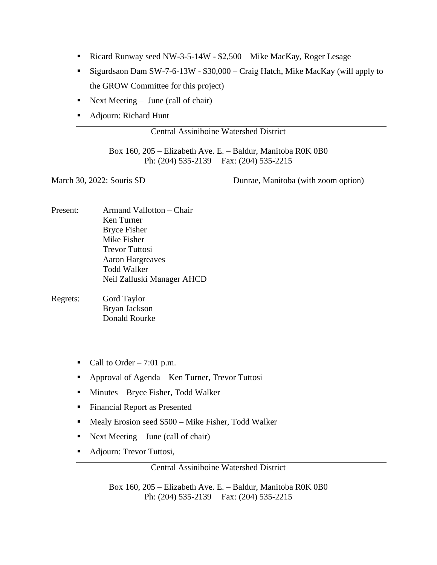- Ricard Runway seed NW-3-5-14W \$2,500 Mike MacKay, Roger Lesage
- Sigurdsaon Dam SW-7-6-13W \$30,000 Craig Hatch, Mike MacKay (will apply to the GROW Committee for this project)
- Next Meeting June (call of chair)
- Adjourn: Richard Hunt

## Central Assiniboine Watershed District

Box 160, 205 – Elizabeth Ave. E. – Baldur, Manitoba R0K 0B0 Ph: (204) 535-2139 Fax: (204) 535-2215

March 30, 2022: Souris SD Dunrae, Manitoba (with zoom option)

- Present: Armand Vallotton Chair Ken Turner Bryce Fisher Mike Fisher Trevor Tuttosi Aaron Hargreaves Todd Walker Neil Zalluski Manager AHCD
- Regrets: Gord Taylor Bryan Jackson Donald Rourke
	- Call to Order 7:01 p.m.
	- Approval of Agenda Ken Turner, Trevor Tuttosi
	- $\blacksquare$  Minutes Bryce Fisher, Todd Walker
	- Financial Report as Presented
	- Mealy Erosion seed \$500 Mike Fisher, Todd Walker
	- Next Meeting June (call of chair)
	- Adjourn: Trevor Tuttosi,

Central Assiniboine Watershed District

Box 160, 205 – Elizabeth Ave. E. – Baldur, Manitoba R0K 0B0 Ph: (204) 535-2139 Fax: (204) 535-2215